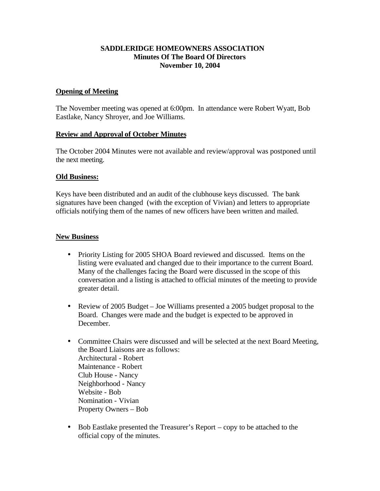# **SADDLERIDGE HOMEOWNERS ASSOCIATION Minutes Of The Board Of Directors November 10, 2004**

# **Opening of Meeting**

The November meeting was opened at 6:00pm. In attendance were Robert Wyatt, Bob Eastlake, Nancy Shroyer, and Joe Williams.

### **Review and Approval of October Minutes**

The October 2004 Minutes were not available and review/approval was postponed until the next meeting.

### **Old Business:**

Keys have been distributed and an audit of the clubhouse keys discussed. The bank signatures have been changed (with the exception of Vivian) and letters to appropriate officials notifying them of the names of new officers have been written and mailed.

### **New Business**

- Priority Listing for 2005 SHOA Board reviewed and discussed. Items on the listing were evaluated and changed due to their importance to the current Board. Many of the challenges facing the Board were discussed in the scope of this conversation and a listing is attached to official minutes of the meeting to provide greater detail.
- Review of 2005 Budget Joe Williams presented a 2005 budget proposal to the Board. Changes were made and the budget is expected to be approved in December.
- Committee Chairs were discussed and will be selected at the next Board Meeting, the Board Liaisons are as follows: Architectural - Robert Maintenance - Robert Club House - Nancy Neighborhood - Nancy Website - Bob Nomination - Vivian Property Owners – Bob
- Bob Eastlake presented the Treasurer's Report copy to be attached to the official copy of the minutes.